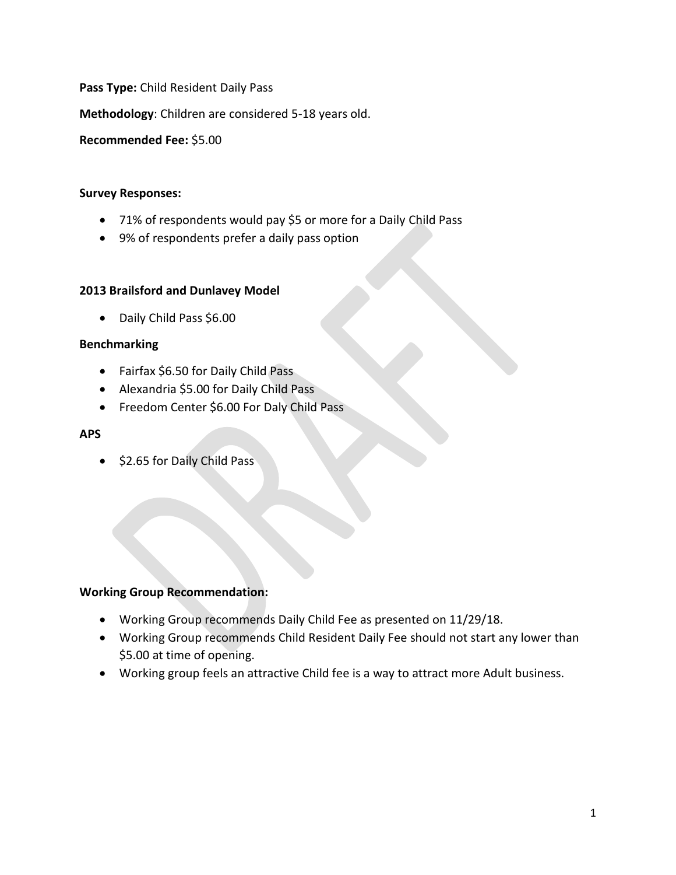**Pass Type:** Child Resident Daily Pass

**Methodology**: Children are considered 5-18 years old.

**Recommended Fee:** \$5.00

#### **Survey Responses:**

- 71% of respondents would pay \$5 or more for a Daily Child Pass
- 9% of respondents prefer a daily pass option

### **2013 Brailsford and Dunlavey Model**

• Daily Child Pass \$6.00

### **Benchmarking**

- Fairfax \$6.50 for Daily Child Pass
- Alexandria \$5.00 for Daily Child Pass
- Freedom Center \$6.00 For Daly Child Pass

#### **APS**

• \$2.65 for Daily Child Pass

- Working Group recommends Daily Child Fee as presented on 11/29/18.
- Working Group recommends Child Resident Daily Fee should not start any lower than \$5.00 at time of opening.
- Working group feels an attractive Child fee is a way to attract more Adult business.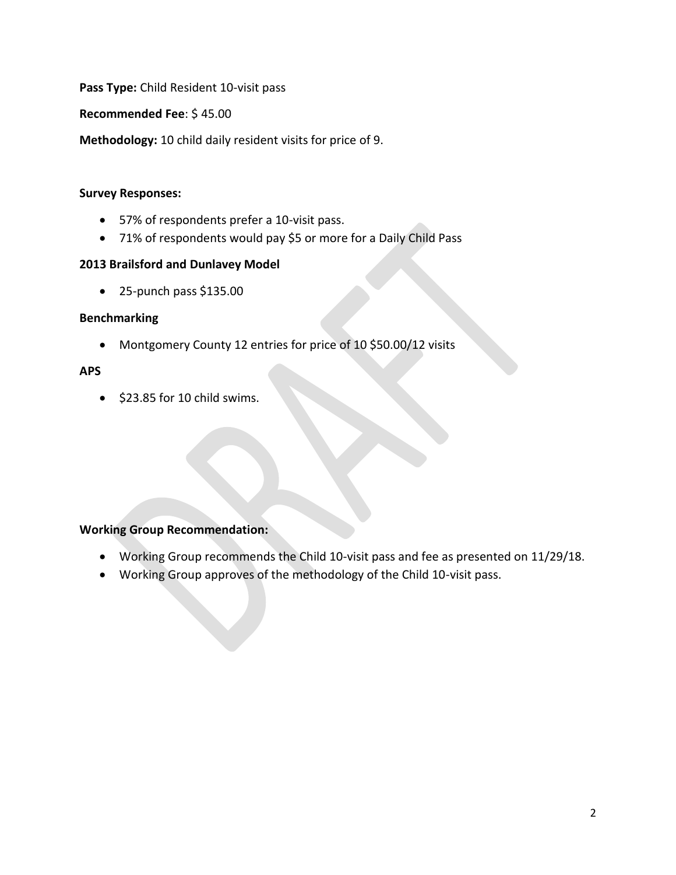**Pass Type:** Child Resident 10-visit pass

**Recommended Fee**: \$ 45.00

**Methodology:** 10 child daily resident visits for price of 9.

### **Survey Responses:**

- 57% of respondents prefer a 10-visit pass.
- 71% of respondents would pay \$5 or more for a Daily Child Pass

## **2013 Brailsford and Dunlavey Model**

• 25-punch pass \$135.00

## **Benchmarking**

• Montgomery County 12 entries for price of 10 \$50.00/12 visits

## **APS**

• \$23.85 for 10 child swims.

- Working Group recommends the Child 10-visit pass and fee as presented on 11/29/18.
- Working Group approves of the methodology of the Child 10-visit pass.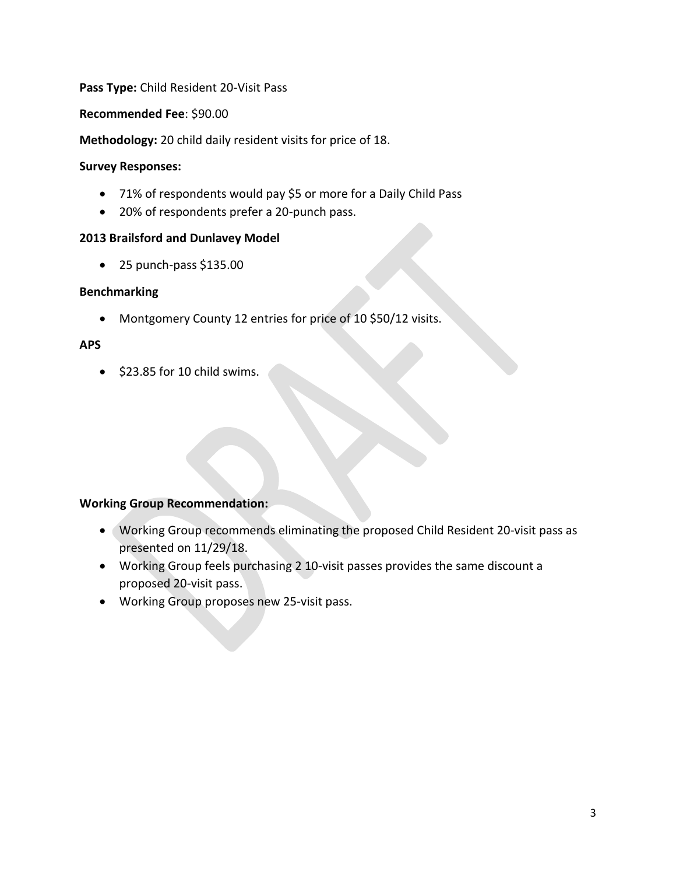# **Pass Type:** Child Resident 20-Visit Pass

### **Recommended Fee**: \$90.00

**Methodology:** 20 child daily resident visits for price of 18.

### **Survey Responses:**

- 71% of respondents would pay \$5 or more for a Daily Child Pass
- 20% of respondents prefer a 20-punch pass.

## **2013 Brailsford and Dunlavey Model**

 $\bullet$  25 punch-pass \$135.00

## **Benchmarking**

• Montgomery County 12 entries for price of 10 \$50/12 visits.

## **APS**

• \$23.85 for 10 child swims.

- Working Group recommends eliminating the proposed Child Resident 20-visit pass as presented on 11/29/18.
- Working Group feels purchasing 2 10-visit passes provides the same discount a proposed 20-visit pass.
- Working Group proposes new 25-visit pass.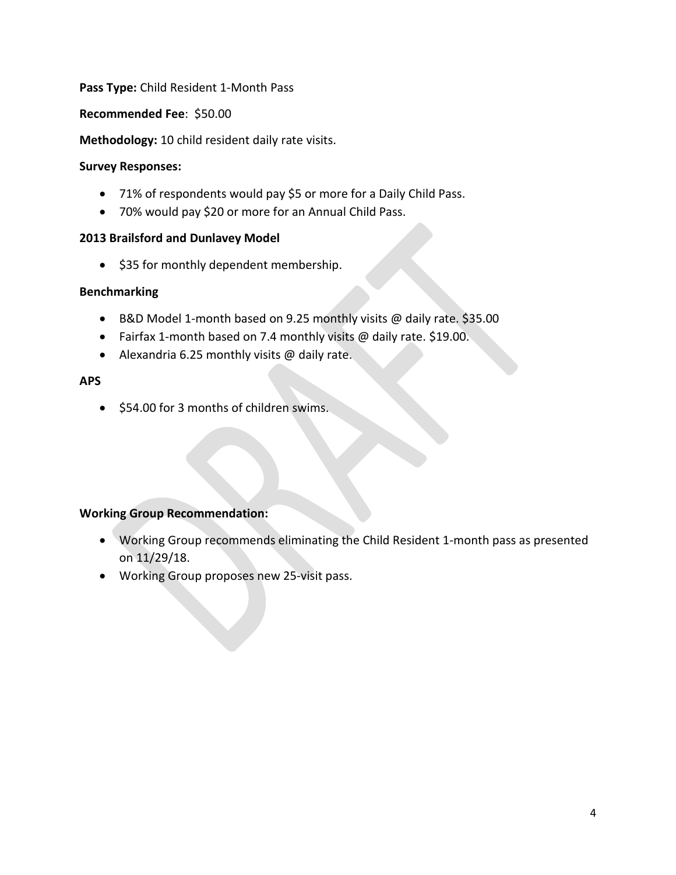## **Pass Type:** Child Resident 1-Month Pass

### **Recommended Fee**: \$50.00

**Methodology:** 10 child resident daily rate visits.

### **Survey Responses:**

- 71% of respondents would pay \$5 or more for a Daily Child Pass.
- 70% would pay \$20 or more for an Annual Child Pass.

## **2013 Brailsford and Dunlavey Model**

• \$35 for monthly dependent membership.

## **Benchmarking**

- B&D Model 1-month based on 9.25 monthly visits @ daily rate. \$35.00
- Fairfax 1-month based on 7.4 monthly visits @ daily rate. \$19.00.
- Alexandria 6.25 monthly visits @ daily rate.

## **APS**

• \$54.00 for 3 months of children swims.

- Working Group recommends eliminating the Child Resident 1-month pass as presented on 11/29/18.
- Working Group proposes new 25-visit pass.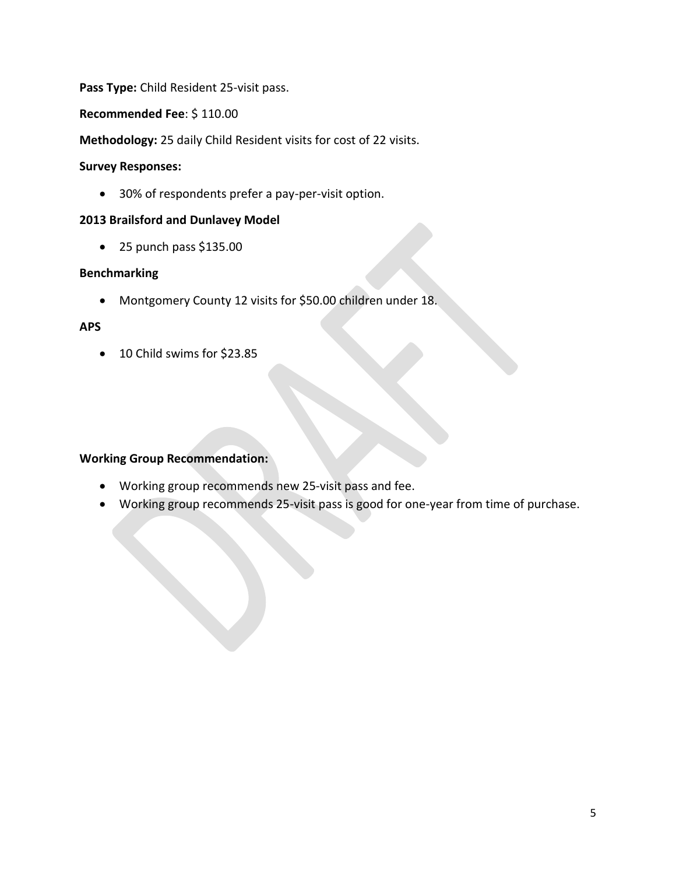**Pass Type:** Child Resident 25-visit pass.

**Recommended Fee**: \$ 110.00

**Methodology:** 25 daily Child Resident visits for cost of 22 visits.

### **Survey Responses:**

• 30% of respondents prefer a pay-per-visit option.

# **2013 Brailsford and Dunlavey Model**

 $\bullet$  25 punch pass \$135.00

## **Benchmarking**

• Montgomery County 12 visits for \$50.00 children under 18.

### **APS**

• 10 Child swims for \$23.85

- Working group recommends new 25-visit pass and fee.
- Working group recommends 25-visit pass is good for one-year from time of purchase.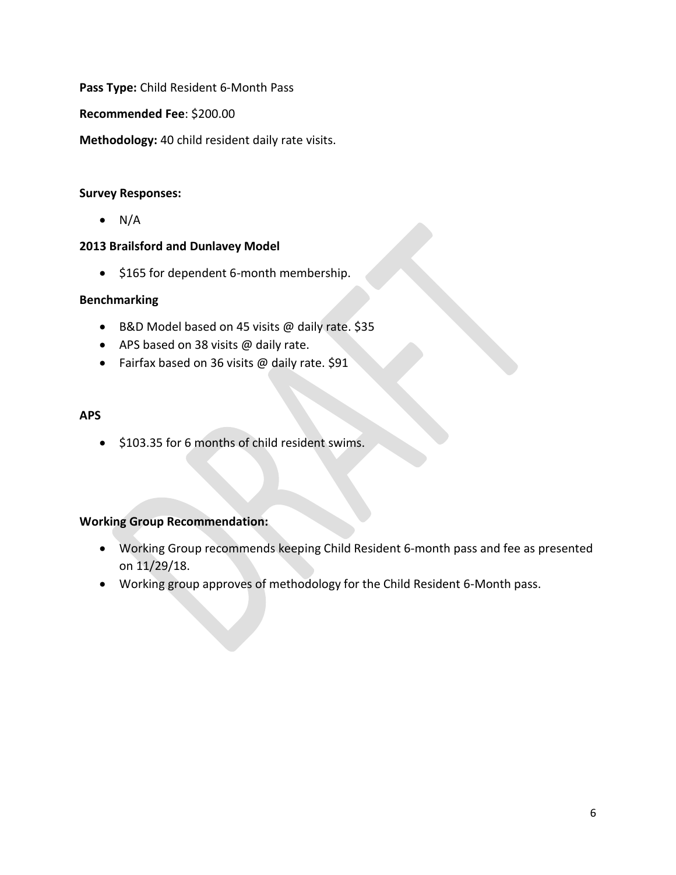**Pass Type:** Child Resident 6-Month Pass

**Recommended Fee**: \$200.00

**Methodology:** 40 child resident daily rate visits.

## **Survey Responses:**

 $\bullet$  N/A

## **2013 Brailsford and Dunlavey Model**

• \$165 for dependent 6-month membership.

## **Benchmarking**

- B&D Model based on 45 visits @ daily rate. \$35
- APS based on 38 visits @ daily rate.
- Fairfax based on 36 visits @ daily rate. \$91

### **APS**

• \$103.35 for 6 months of child resident swims.

- Working Group recommends keeping Child Resident 6-month pass and fee as presented on 11/29/18.
- Working group approves of methodology for the Child Resident 6-Month pass.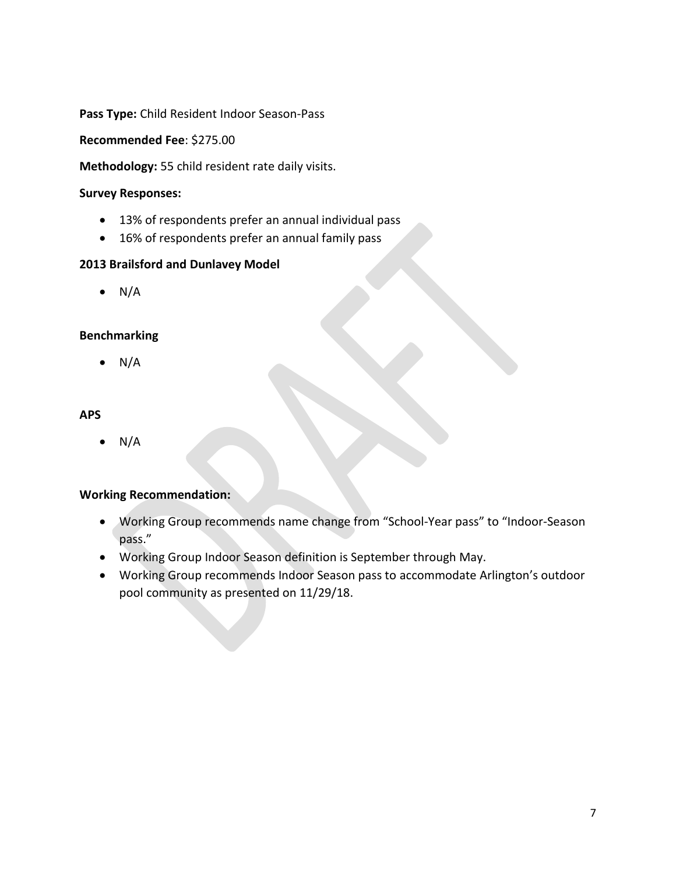**Pass Type:** Child Resident Indoor Season-Pass

**Recommended Fee**: \$275.00

**Methodology:** 55 child resident rate daily visits.

#### **Survey Responses:**

- 13% of respondents prefer an annual individual pass
- 16% of respondents prefer an annual family pass

### **2013 Brailsford and Dunlavey Model**

 $\bullet$  N/A

### **Benchmarking**

 $\bullet$  N/A

### **APS**

• N/A

## **Working Recommendation:**

- Working Group recommends name change from "School-Year pass" to "Indoor-Season pass."
- Working Group Indoor Season definition is September through May.
- Working Group recommends Indoor Season pass to accommodate Arlington's outdoor pool community as presented on 11/29/18.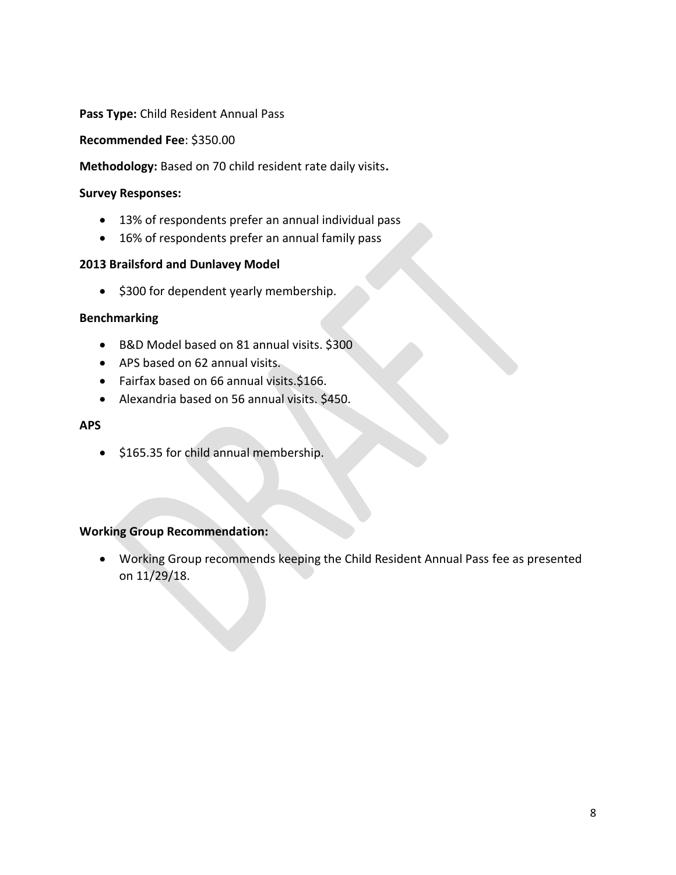#### **Pass Type:** Child Resident Annual Pass

**Recommended Fee**: \$350.00

**Methodology:** Based on 70 child resident rate daily visits**.** 

#### **Survey Responses:**

- 13% of respondents prefer an annual individual pass
- 16% of respondents prefer an annual family pass

#### **2013 Brailsford and Dunlavey Model**

• \$300 for dependent yearly membership.

#### **Benchmarking**

- B&D Model based on 81 annual visits. \$300
- APS based on 62 annual visits.
- Fairfax based on 66 annual visits.\$166.
- Alexandria based on 56 annual visits. \$450.

#### **APS**

• \$165.35 for child annual membership.

### **Working Group Recommendation:**

• Working Group recommends keeping the Child Resident Annual Pass fee as presented on 11/29/18.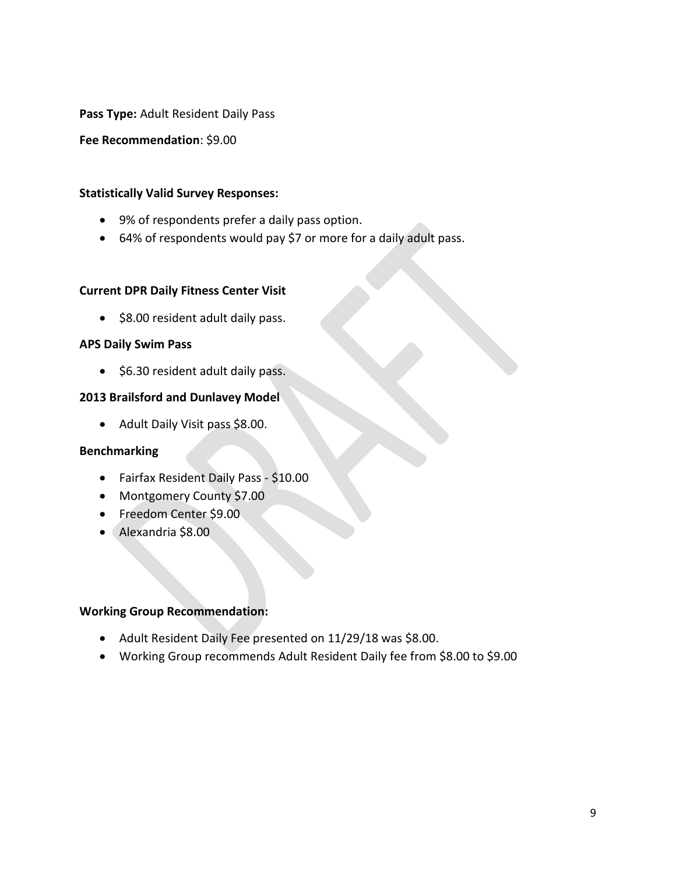**Pass Type:** Adult Resident Daily Pass

**Fee Recommendation**: \$9.00

#### **Statistically Valid Survey Responses:**

- 9% of respondents prefer a daily pass option.
- 64% of respondents would pay \$7 or more for a daily adult pass.

#### **Current DPR Daily Fitness Center Visit**

• \$8.00 resident adult daily pass.

### **APS Daily Swim Pass**

• \$6.30 resident adult daily pass.

### **2013 Brailsford and Dunlavey Model**

• Adult Daily Visit pass \$8.00.

### **Benchmarking**

- Fairfax Resident Daily Pass \$10.00
- Montgomery County \$7.00
- Freedom Center \$9.00
- Alexandria \$8.00

- Adult Resident Daily Fee presented on 11/29/18 was \$8.00.
- Working Group recommends Adult Resident Daily fee from \$8.00 to \$9.00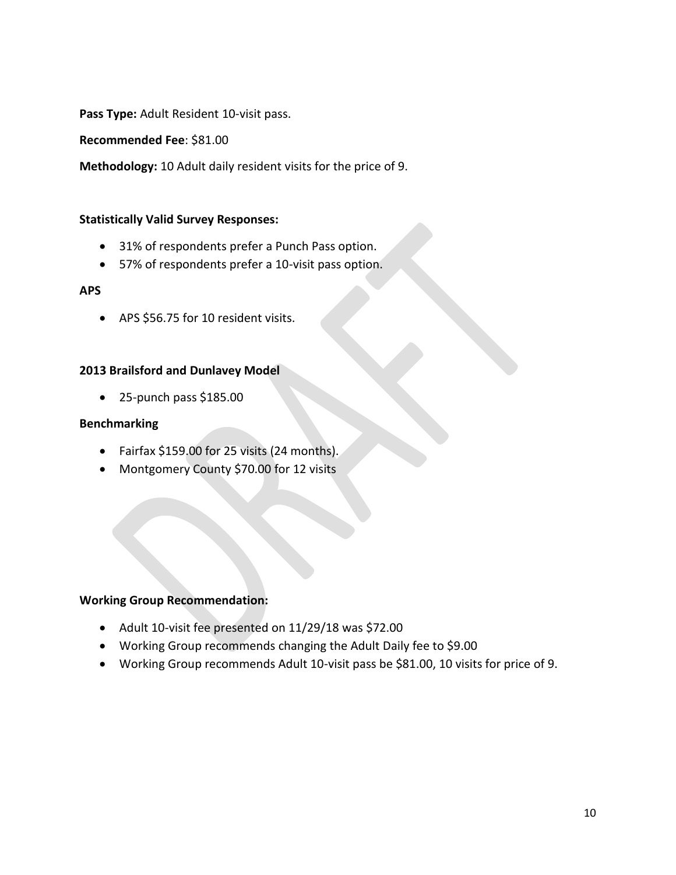**Pass Type:** Adult Resident 10-visit pass.

**Recommended Fee**: \$81.00

**Methodology:** 10 Adult daily resident visits for the price of 9.

#### **Statistically Valid Survey Responses:**

- 31% of respondents prefer a Punch Pass option.
- 57% of respondents prefer a 10-visit pass option.

#### **APS**

• APS \$56.75 for 10 resident visits.

#### **2013 Brailsford and Dunlavey Model**

• 25-punch pass \$185.00

#### **Benchmarking**

- Fairfax \$159.00 for 25 visits (24 months).
- Montgomery County \$70.00 for 12 visits

- Adult 10-visit fee presented on 11/29/18 was \$72.00
- Working Group recommends changing the Adult Daily fee to \$9.00
- Working Group recommends Adult 10-visit pass be \$81.00, 10 visits for price of 9.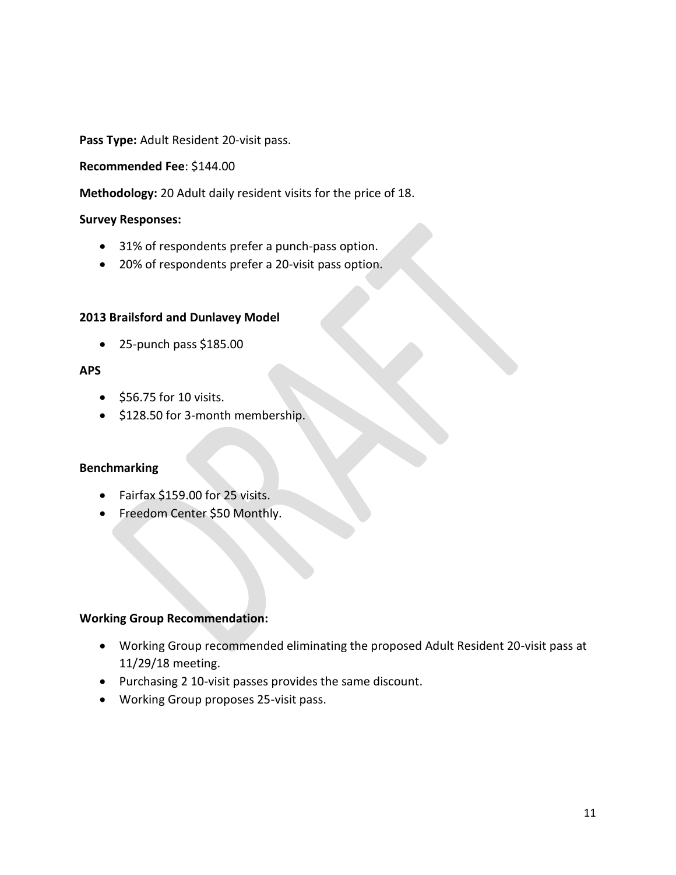**Pass Type:** Adult Resident 20-visit pass.

#### **Recommended Fee**: \$144.00

**Methodology:** 20 Adult daily resident visits for the price of 18.

#### **Survey Responses:**

- 31% of respondents prefer a punch-pass option.
- 20% of respondents prefer a 20-visit pass option.

#### **2013 Brailsford and Dunlavey Model**

 $\bullet$  25-punch pass \$185.00

### **APS**

- \$56.75 for 10 visits.
- \$128.50 for 3-month membership.

### **Benchmarking**

- Fairfax \$159.00 for 25 visits.
- Freedom Center \$50 Monthly.

- Working Group recommended eliminating the proposed Adult Resident 20-visit pass at 11/29/18 meeting.
- Purchasing 2 10-visit passes provides the same discount.
- Working Group proposes 25-visit pass.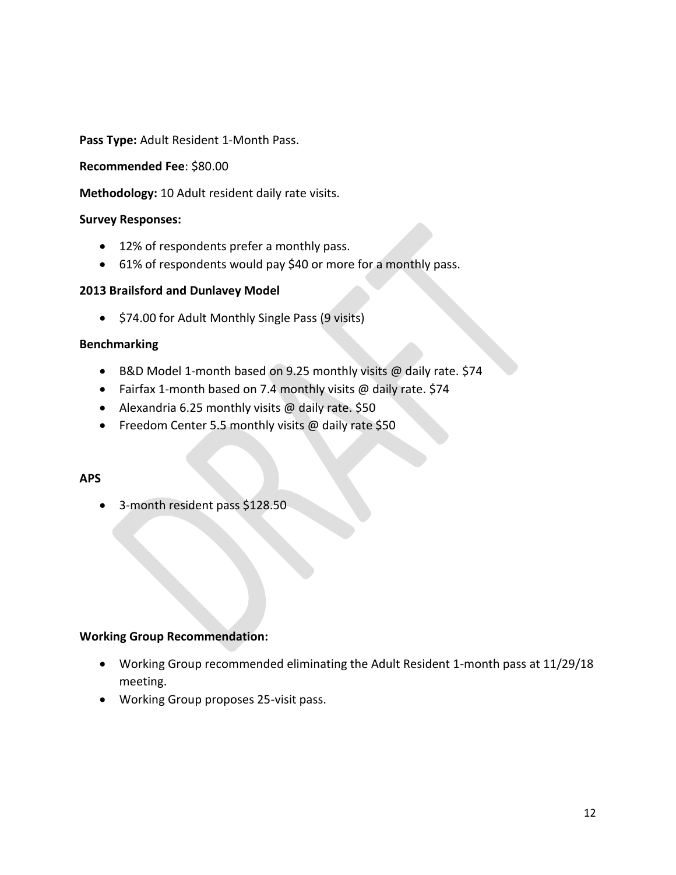**Pass Type:** Adult Resident 1-Month Pass.

#### **Recommended Fee**: \$80.00

**Methodology:** 10 Adult resident daily rate visits.

#### **Survey Responses:**

- 12% of respondents prefer a monthly pass.
- 61% of respondents would pay \$40 or more for a monthly pass.

### **2013 Brailsford and Dunlavey Model**

• \$74.00 for Adult Monthly Single Pass (9 visits)

#### **Benchmarking**

- B&D Model 1-month based on 9.25 monthly visits @ daily rate. \$74
- Fairfax 1-month based on 7.4 monthly visits  $@$  daily rate. \$74
- Alexandria 6.25 monthly visits @ daily rate. \$50
- Freedom Center 5.5 monthly visits @ daily rate \$50

### **APS**

• 3-month resident pass \$128.50

- Working Group recommended eliminating the Adult Resident 1-month pass at 11/29/18 meeting.
- Working Group proposes 25-visit pass.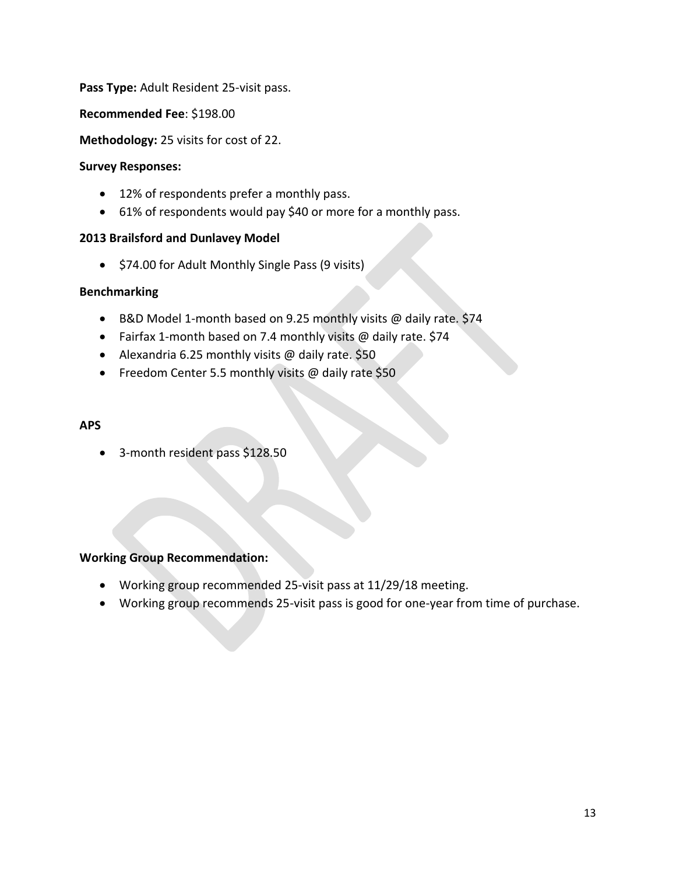### **Pass Type:** Adult Resident 25-visit pass.

**Recommended Fee**: \$198.00

**Methodology:** 25 visits for cost of 22.

#### **Survey Responses:**

- 12% of respondents prefer a monthly pass.
- 61% of respondents would pay \$40 or more for a monthly pass.

### **2013 Brailsford and Dunlavey Model**

• \$74.00 for Adult Monthly Single Pass (9 visits)

### **Benchmarking**

- B&D Model 1-month based on 9.25 monthly visits @ daily rate. \$74
- Fairfax 1-month based on 7.4 monthly visits @ daily rate. \$74
- Alexandria 6.25 monthly visits @ daily rate. \$50
- Freedom Center 5.5 monthly visits @ daily rate \$50

#### **APS**

• 3-month resident pass \$128.50

- Working group recommended 25-visit pass at 11/29/18 meeting.
- Working group recommends 25-visit pass is good for one-year from time of purchase.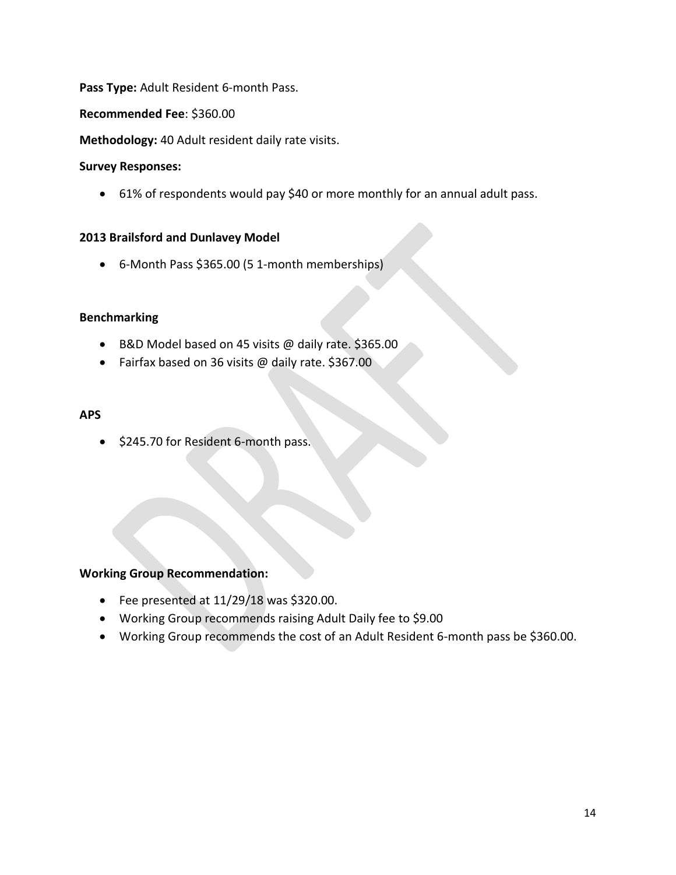## **Pass Type:** Adult Resident 6-month Pass.

#### **Recommended Fee**: \$360.00

**Methodology:** 40 Adult resident daily rate visits.

#### **Survey Responses:**

• 61% of respondents would pay \$40 or more monthly for an annual adult pass.

#### **2013 Brailsford and Dunlavey Model**

• 6-Month Pass \$365.00 (5 1-month memberships)

#### **Benchmarking**

- B&D Model based on 45 visits @ daily rate. \$365.00
- Fairfax based on 36 visits @ daily rate. \$367.00

#### **APS**

• \$245.70 for Resident 6-month pass.

- Fee presented at 11/29/18 was \$320.00.
- Working Group recommends raising Adult Daily fee to \$9.00
- Working Group recommends the cost of an Adult Resident 6-month pass be \$360.00.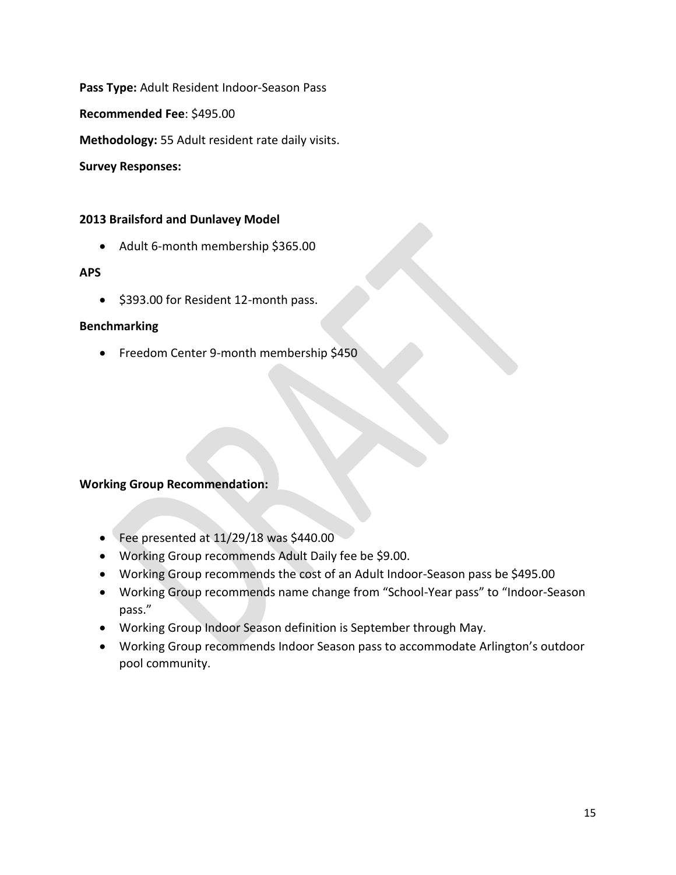**Pass Type:** Adult Resident Indoor-Season Pass

**Recommended Fee**: \$495.00

**Methodology:** 55 Adult resident rate daily visits.

**Survey Responses:**

### **2013 Brailsford and Dunlavey Model**

• Adult 6-month membership \$365.00

### **APS**

• \$393.00 for Resident 12-month pass.

### **Benchmarking**

• Freedom Center 9-month membership \$450

- Fee presented at 11/29/18 was \$440.00
- Working Group recommends Adult Daily fee be \$9.00.
- Working Group recommends the cost of an Adult Indoor-Season pass be \$495.00
- Working Group recommends name change from "School-Year pass" to "Indoor-Season pass."
- Working Group Indoor Season definition is September through May.
- Working Group recommends Indoor Season pass to accommodate Arlington's outdoor pool community.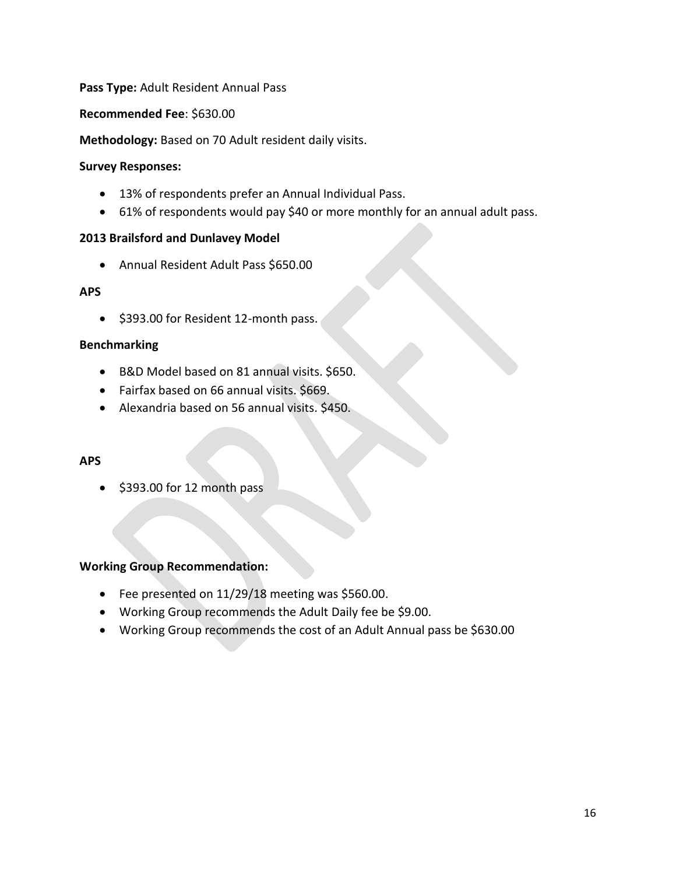## **Pass Type:** Adult Resident Annual Pass

#### **Recommended Fee**: \$630.00

#### **Methodology:** Based on 70 Adult resident daily visits.

#### **Survey Responses:**

- 13% of respondents prefer an Annual Individual Pass.
- 61% of respondents would pay \$40 or more monthly for an annual adult pass.

#### **2013 Brailsford and Dunlavey Model**

• Annual Resident Adult Pass \$650.00

### **APS**

• \$393.00 for Resident 12-month pass.

### **Benchmarking**

- B&D Model based on 81 annual visits. \$650.
- Fairfax based on 66 annual visits. \$669.
- Alexandria based on 56 annual visits. \$450.

### **APS**

• \$393.00 for 12 month pass

- Fee presented on 11/29/18 meeting was \$560.00.
- Working Group recommends the Adult Daily fee be \$9.00.
- Working Group recommends the cost of an Adult Annual pass be \$630.00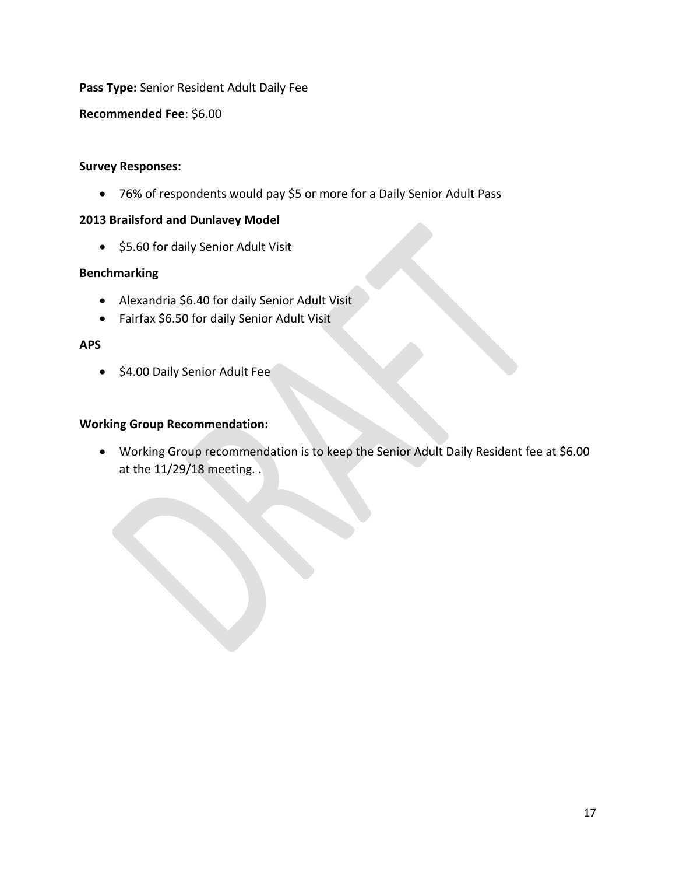## **Pass Type:** Senior Resident Adult Daily Fee

**Recommended Fee**: \$6.00

#### **Survey Responses:**

• 76% of respondents would pay \$5 or more for a Daily Senior Adult Pass

#### **2013 Brailsford and Dunlavey Model**

• \$5.60 for daily Senior Adult Visit

### **Benchmarking**

- Alexandria \$6.40 for daily Senior Adult Visit
- Fairfax \$6.50 for daily Senior Adult Visit

#### **APS**

• \$4.00 Daily Senior Adult Fee

### **Working Group Recommendation:**

• Working Group recommendation is to keep the Senior Adult Daily Resident fee at \$6.00 at the 11/29/18 meeting. .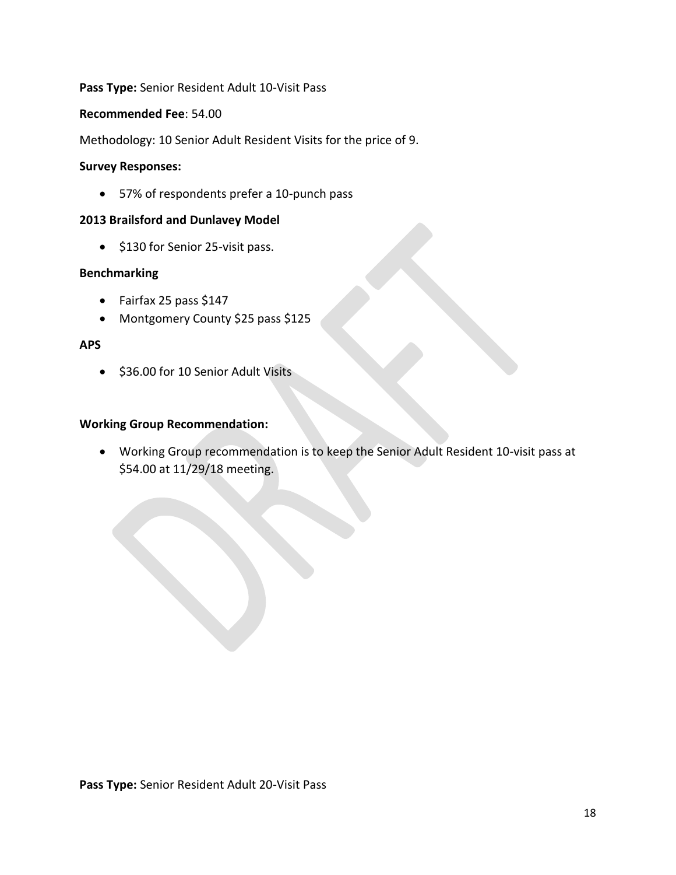## **Pass Type:** Senior Resident Adult 10-Visit Pass

#### **Recommended Fee**: 54.00

Methodology: 10 Senior Adult Resident Visits for the price of 9.

#### **Survey Responses:**

• 57% of respondents prefer a 10-punch pass

#### **2013 Brailsford and Dunlavey Model**

• \$130 for Senior 25-visit pass.

### **Benchmarking**

- Fairfax 25 pass \$147
- Montgomery County \$25 pass \$125

### **APS**

• \$36.00 for 10 Senior Adult Visits

### **Working Group Recommendation:**

• Working Group recommendation is to keep the Senior Adult Resident 10-visit pass at \$54.00 at 11/29/18 meeting.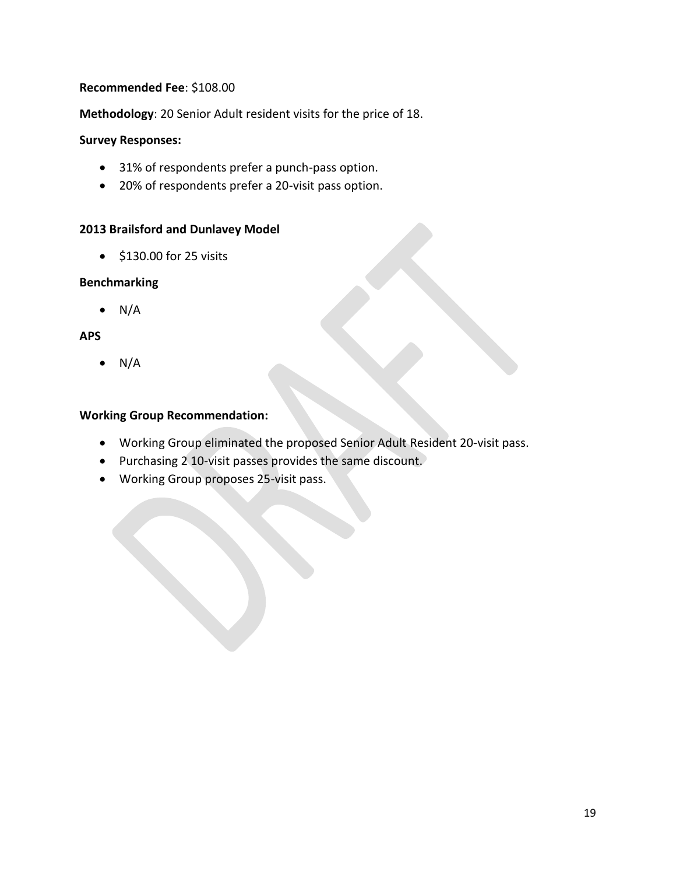## **Recommended Fee**: \$108.00

**Methodology**: 20 Senior Adult resident visits for the price of 18.

### **Survey Responses:**

- 31% of respondents prefer a punch-pass option.
- 20% of respondents prefer a 20-visit pass option.

### **2013 Brailsford and Dunlavey Model**

• \$130.00 for 25 visits

### **Benchmarking**

 $\bullet$  N/A

### **APS**

 $\bullet$  N/A

- Working Group eliminated the proposed Senior Adult Resident 20-visit pass.
- Purchasing 2 10-visit passes provides the same discount.
- Working Group proposes 25-visit pass.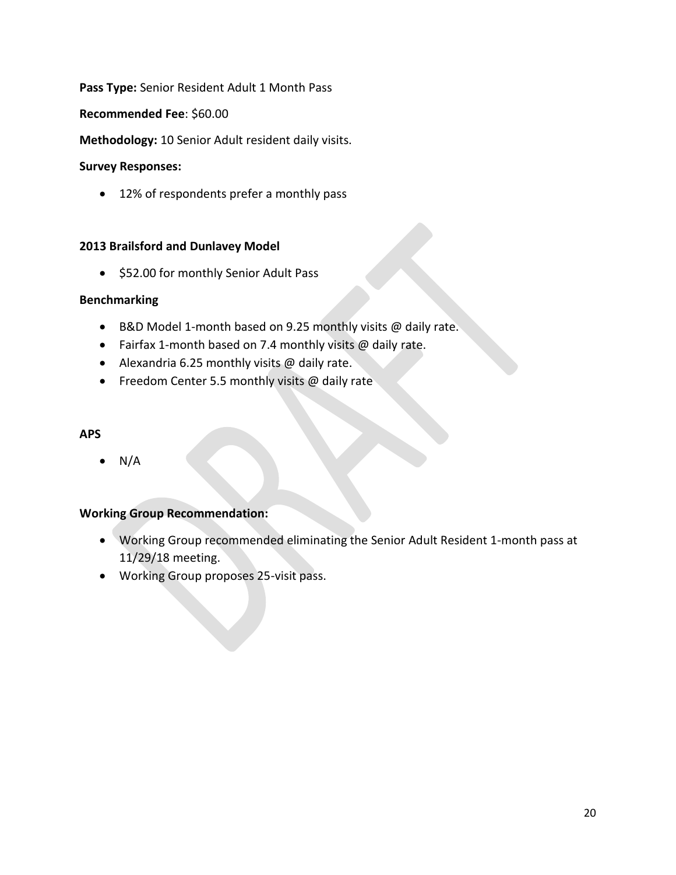# **Pass Type:** Senior Resident Adult 1 Month Pass

#### **Recommended Fee**: \$60.00

**Methodology:** 10 Senior Adult resident daily visits.

#### **Survey Responses:**

• 12% of respondents prefer a monthly pass

### **2013 Brailsford and Dunlavey Model**

• \$52.00 for monthly Senior Adult Pass

### **Benchmarking**

- B&D Model 1-month based on 9.25 monthly visits @ daily rate.
- Fairfax 1-month based on 7.4 monthly visits @ daily rate.
- Alexandria 6.25 monthly visits @ daily rate.
- Freedom Center 5.5 monthly visits @ daily rate

#### **APS**

 $N/A$ 

- Working Group recommended eliminating the Senior Adult Resident 1-month pass at 11/29/18 meeting.
- Working Group proposes 25-visit pass.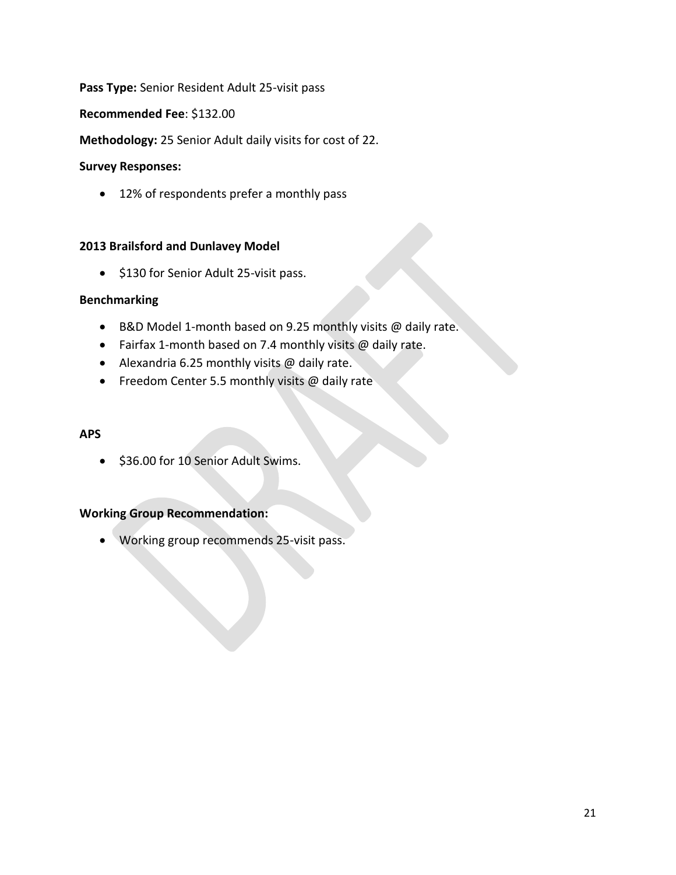## **Pass Type:** Senior Resident Adult 25-visit pass

#### **Recommended Fee**: \$132.00

**Methodology:** 25 Senior Adult daily visits for cost of 22.

#### **Survey Responses:**

• 12% of respondents prefer a monthly pass

### **2013 Brailsford and Dunlavey Model**

• \$130 for Senior Adult 25-visit pass.

#### **Benchmarking**

- B&D Model 1-month based on 9.25 monthly visits @ daily rate.
- Fairfax 1-month based on 7.4 monthly visits @ daily rate.
- Alexandria 6.25 monthly visits @ daily rate.
- Freedom Center 5.5 monthly visits @ daily rate

#### **APS**

• \$36.00 for 10 Senior Adult Swims.

# **Working Group Recommendation:**

• Working group recommends 25-visit pass.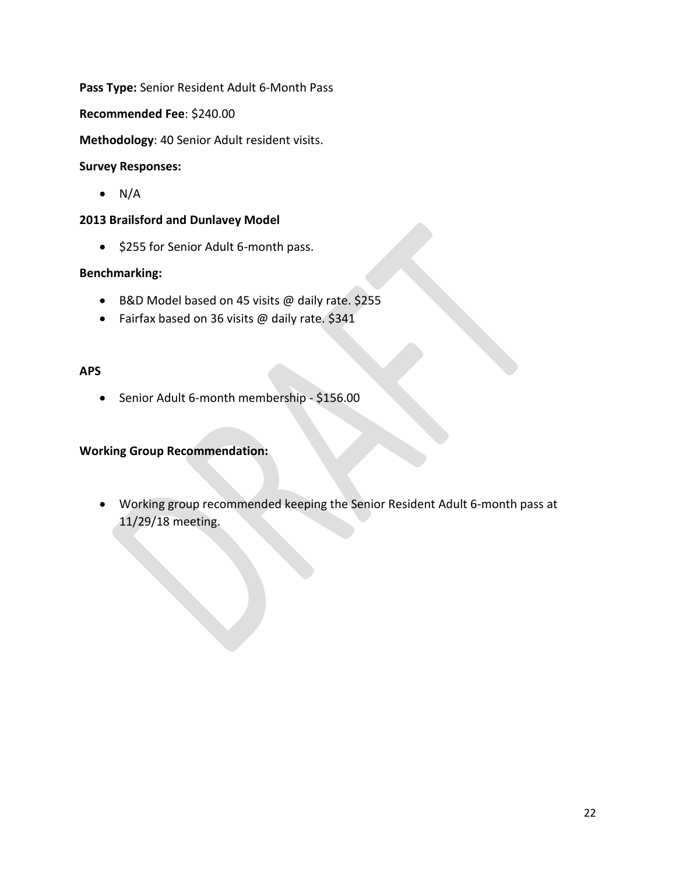**Pass Type:** Senior Resident Adult 6-Month Pass

**Recommended Fee**: \$240.00

**Methodology**: 40 Senior Adult resident visits.

#### **Survey Responses:**

 $\bullet$  N/A

#### **2013 Brailsford and Dunlavey Model**

• \$255 for Senior Adult 6-month pass.

### **Benchmarking:**

- B&D Model based on 45 visits @ daily rate. \$255
- Fairfax based on 36 visits @ daily rate. \$341

#### **APS**

• Senior Adult 6-month membership - \$156.00

### **Working Group Recommendation:**

• Working group recommended keeping the Senior Resident Adult 6-month pass at 11/29/18 meeting.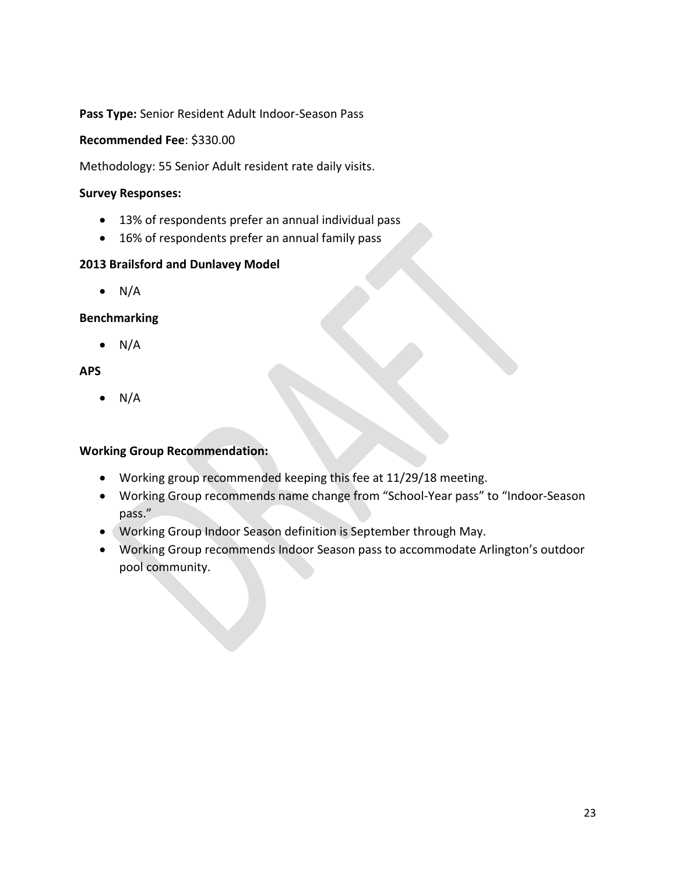**Pass Type:** Senior Resident Adult Indoor-Season Pass

**Recommended Fee**: \$330.00

Methodology: 55 Senior Adult resident rate daily visits.

#### **Survey Responses:**

- 13% of respondents prefer an annual individual pass
- 16% of respondents prefer an annual family pass

### **2013 Brailsford and Dunlavey Model**

 $\bullet$  N/A

## **Benchmarking**

 $\bullet$  N/A

## **APS**

 $\bullet$  N/A

- Working group recommended keeping this fee at 11/29/18 meeting.
- Working Group recommends name change from "School-Year pass" to "Indoor-Season pass."
- Working Group Indoor Season definition is September through May.
- Working Group recommends Indoor Season pass to accommodate Arlington's outdoor pool community.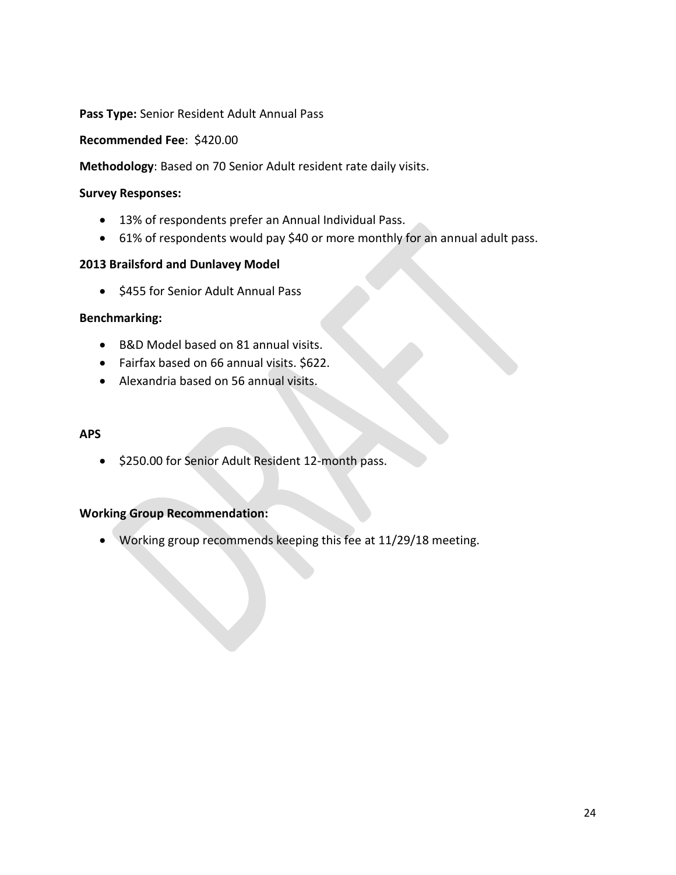**Pass Type:** Senior Resident Adult Annual Pass

**Recommended Fee**: \$420.00

**Methodology**: Based on 70 Senior Adult resident rate daily visits.

#### **Survey Responses:**

- 13% of respondents prefer an Annual Individual Pass.
- 61% of respondents would pay \$40 or more monthly for an annual adult pass.

### **2013 Brailsford and Dunlavey Model**

• \$455 for Senior Adult Annual Pass

#### **Benchmarking:**

- B&D Model based on 81 annual visits.
- Fairfax based on 66 annual visits. \$622.
- Alexandria based on 56 annual visits.

#### **APS**

• \$250.00 for Senior Adult Resident 12-month pass.

# **Working Group Recommendation:**

• Working group recommends keeping this fee at 11/29/18 meeting.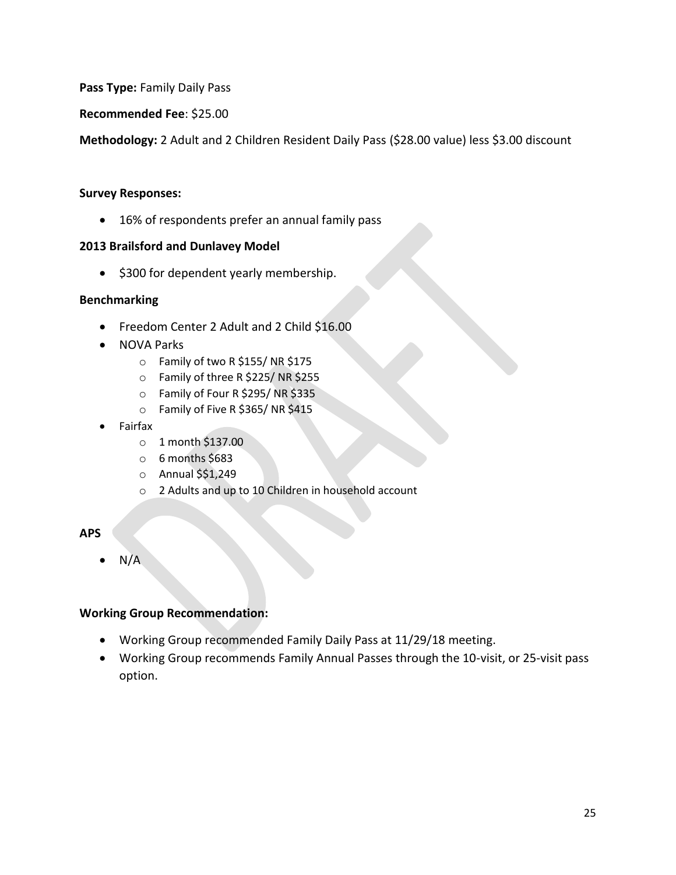**Pass Type:** Family Daily Pass

**Recommended Fee**: \$25.00

**Methodology:** 2 Adult and 2 Children Resident Daily Pass (\$28.00 value) less \$3.00 discount

### **Survey Responses:**

• 16% of respondents prefer an annual family pass

### **2013 Brailsford and Dunlavey Model**

• \$300 for dependent yearly membership.

### **Benchmarking**

- Freedom Center 2 Adult and 2 Child \$16.00
- NOVA Parks
	- o Family of two R \$155/ NR \$175
	- o Family of three R \$225/ NR \$255
	- o Family of Four R \$295/ NR \$335
	- o Family of Five R \$365/ NR \$415
- Fairfax
	- o 1 month \$137.00
	- $\circ$  6 months \$683
	- o Annual \$\$1,249
	- o 2 Adults and up to 10 Children in household account

### **APS**

 $N/A$ 

- Working Group recommended Family Daily Pass at 11/29/18 meeting.
- Working Group recommends Family Annual Passes through the 10-visit, or 25-visit pass option.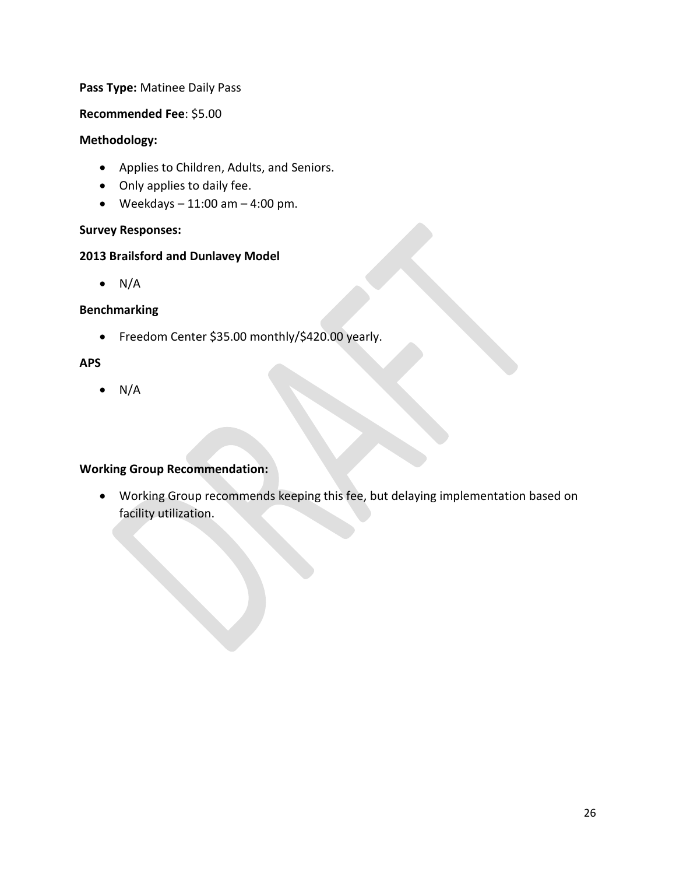### **Pass Type:** Matinee Daily Pass

### **Recommended Fee**: \$5.00

## **Methodology:**

- Applies to Children, Adults, and Seniors.
- Only applies to daily fee.
- Weekdays  $-11:00$  am  $-4:00$  pm.

## **Survey Responses:**

## **2013 Brailsford and Dunlavey Model**

 $\bullet$  N/A

## **Benchmarking**

• Freedom Center \$35.00 monthly/\$420.00 yearly.

# **APS**

 $\bullet$  N/A

# **Working Group Recommendation:**

• Working Group recommends keeping this fee, but delaying implementation based on facility utilization.